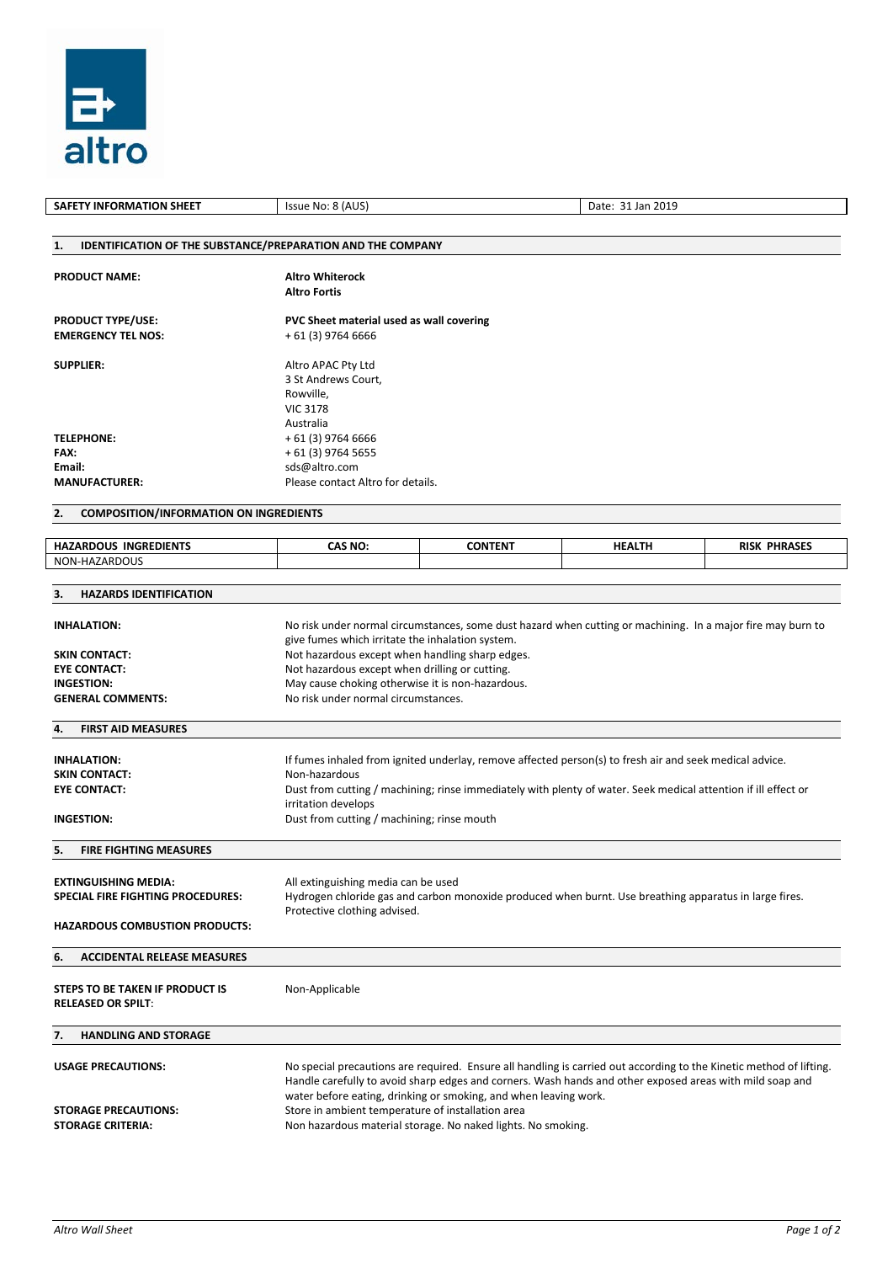

| <b>SAFETY INFORMATION SHEET</b>                                                                           | Issue No: 8 (AUS)<br>Date: 31 Jan 2019                                                                                                                                                                                                                                                                                                                                                                                   |                                   |               |                     |  |  |  |  |  |  |
|-----------------------------------------------------------------------------------------------------------|--------------------------------------------------------------------------------------------------------------------------------------------------------------------------------------------------------------------------------------------------------------------------------------------------------------------------------------------------------------------------------------------------------------------------|-----------------------------------|---------------|---------------------|--|--|--|--|--|--|
|                                                                                                           |                                                                                                                                                                                                                                                                                                                                                                                                                          |                                   |               |                     |  |  |  |  |  |  |
| <b>IDENTIFICATION OF THE SUBSTANCE/PREPARATION AND THE COMPANY</b><br>1.                                  |                                                                                                                                                                                                                                                                                                                                                                                                                          |                                   |               |                     |  |  |  |  |  |  |
| <b>PRODUCT NAME:</b>                                                                                      | <b>Altro Whiterock</b><br><b>Altro Fortis</b>                                                                                                                                                                                                                                                                                                                                                                            |                                   |               |                     |  |  |  |  |  |  |
| <b>PRODUCT TYPE/USE:</b><br><b>EMERGENCY TEL NOS:</b>                                                     | PVC Sheet material used as wall covering<br>+ 61 (3) 9764 6666                                                                                                                                                                                                                                                                                                                                                           |                                   |               |                     |  |  |  |  |  |  |
| <b>SUPPLIER:</b>                                                                                          | Altro APAC Pty Ltd<br>3 St Andrews Court,<br>Rowville,<br><b>VIC 3178</b><br>Australia                                                                                                                                                                                                                                                                                                                                   |                                   |               |                     |  |  |  |  |  |  |
| <b>TELEPHONE:</b>                                                                                         | + 61 (3) 9764 6666                                                                                                                                                                                                                                                                                                                                                                                                       |                                   |               |                     |  |  |  |  |  |  |
| FAX:<br>Email:                                                                                            | + 61 (3) 9764 5655<br>sds@altro.com                                                                                                                                                                                                                                                                                                                                                                                      |                                   |               |                     |  |  |  |  |  |  |
| <b>MANUFACTURER:</b>                                                                                      |                                                                                                                                                                                                                                                                                                                                                                                                                          | Please contact Altro for details. |               |                     |  |  |  |  |  |  |
| <b>COMPOSITION/INFORMATION ON INGREDIENTS</b><br>2.                                                       |                                                                                                                                                                                                                                                                                                                                                                                                                          |                                   |               |                     |  |  |  |  |  |  |
| <b>HAZARDOUS INGREDIENTS</b>                                                                              | CAS NO:                                                                                                                                                                                                                                                                                                                                                                                                                  | <b>CONTENT</b>                    | <b>HEALTH</b> | <b>RISK PHRASES</b> |  |  |  |  |  |  |
| NON-HAZARDOUS                                                                                             |                                                                                                                                                                                                                                                                                                                                                                                                                          |                                   |               |                     |  |  |  |  |  |  |
| <b>HAZARDS IDENTIFICATION</b><br>3.                                                                       |                                                                                                                                                                                                                                                                                                                                                                                                                          |                                   |               |                     |  |  |  |  |  |  |
| <b>INHALATION:</b>                                                                                        | No risk under normal circumstances, some dust hazard when cutting or machining. In a major fire may burn to<br>give fumes which irritate the inhalation system.                                                                                                                                                                                                                                                          |                                   |               |                     |  |  |  |  |  |  |
| <b>SKIN CONTACT:</b>                                                                                      | Not hazardous except when handling sharp edges.                                                                                                                                                                                                                                                                                                                                                                          |                                   |               |                     |  |  |  |  |  |  |
| <b>EYE CONTACT:</b>                                                                                       | Not hazardous except when drilling or cutting.                                                                                                                                                                                                                                                                                                                                                                           |                                   |               |                     |  |  |  |  |  |  |
| <b>INGESTION:</b><br><b>GENERAL COMMENTS:</b>                                                             | May cause choking otherwise it is non-hazardous.<br>No risk under normal circumstances.                                                                                                                                                                                                                                                                                                                                  |                                   |               |                     |  |  |  |  |  |  |
| <b>FIRST AID MEASURES</b><br>4.                                                                           |                                                                                                                                                                                                                                                                                                                                                                                                                          |                                   |               |                     |  |  |  |  |  |  |
| <b>INHALATION:</b><br><b>SKIN CONTACT:</b><br><b>EYE CONTACT:</b><br><b>INGESTION:</b>                    | If fumes inhaled from ignited underlay, remove affected person(s) to fresh air and seek medical advice.<br>Non-hazardous<br>Dust from cutting / machining; rinse immediately with plenty of water. Seek medical attention if ill effect or<br>irritation develops<br>Dust from cutting / machining; rinse mouth                                                                                                          |                                   |               |                     |  |  |  |  |  |  |
| <b>FIRE FIGHTING MEASURES</b><br>5.                                                                       |                                                                                                                                                                                                                                                                                                                                                                                                                          |                                   |               |                     |  |  |  |  |  |  |
| <b>EXTINGUISHING MEDIA:</b><br>SPECIAL FIRE FIGHTING PROCEDURES:<br><b>HAZARDOUS COMBUSTION PRODUCTS:</b> | All extinguishing media can be used<br>Hydrogen chloride gas and carbon monoxide produced when burnt. Use breathing apparatus in large fires.<br>Protective clothing advised.                                                                                                                                                                                                                                            |                                   |               |                     |  |  |  |  |  |  |
| <b>ACCIDENTAL RELEASE MEASURES</b><br>6.                                                                  |                                                                                                                                                                                                                                                                                                                                                                                                                          |                                   |               |                     |  |  |  |  |  |  |
| STEPS TO BE TAKEN IF PRODUCT IS<br><b>RELEASED OR SPILT:</b>                                              | Non-Applicable                                                                                                                                                                                                                                                                                                                                                                                                           |                                   |               |                     |  |  |  |  |  |  |
| <b>HANDLING AND STORAGE</b><br>7.                                                                         |                                                                                                                                                                                                                                                                                                                                                                                                                          |                                   |               |                     |  |  |  |  |  |  |
| <b>USAGE PRECAUTIONS:</b><br><b>STORAGE PRECAUTIONS:</b><br><b>STORAGE CRITERIA:</b>                      | No special precautions are required. Ensure all handling is carried out according to the Kinetic method of lifting.<br>Handle carefully to avoid sharp edges and corners. Wash hands and other exposed areas with mild soap and<br>water before eating, drinking or smoking, and when leaving work.<br>Store in ambient temperature of installation area<br>Non hazardous material storage. No naked lights. No smoking. |                                   |               |                     |  |  |  |  |  |  |